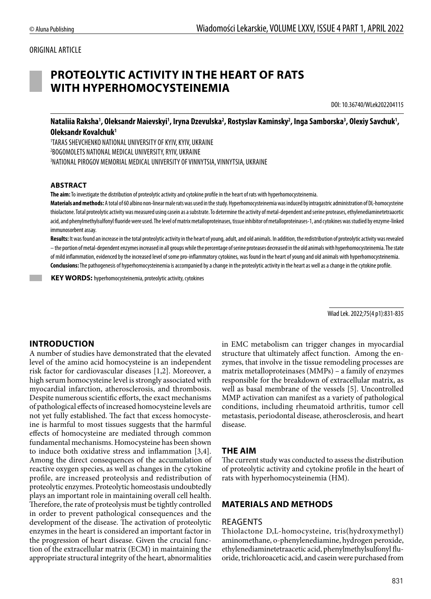### ORIGINAL ARTICLE

# **PROTEOLYTIC ACTIVITY IN THE HEART OF RATS WITH HYPERHOMOCYSTEINEMIA**

DOI: 10.36740/WLek202204115

Nataliia Raksha<sup>1</sup>, Oleksandr Maievskyi<sup>1</sup>, Iryna Dzevulska<sup>2</sup>, Rostyslav Kaminsky<sup>2</sup>, Inga Samborska<sup>3</sup>, Olexiy Savchuk<sup>1</sup>, **Оleksandr Kovalchuk1**

1 TARAS SHEVCHENKO NATIONAL UNIVERSITY OF KYIV, KYIV, UKRAINE 2 BOGOMOLETS NATIONAL MEDICAL UNIVERSITY, RYIV, UKRAINE 3 NATIONAL PIROGOV MEMORIAL MEDICAL UNIVERSITY OF VINNYTSIA, VINNYTSIA, UKRAINE

#### **ABSTRACT**

**The aim:** To investigate the distribution of proteolytic activity and cytokine profile in the heart of rats with hyperhomocysteinemia.

**Materials and methods:** A total of 60 albino non-linear male rats was used in the study. Hyperhomocysteinemia was induced by intragastric administration of DL-homocysteine thiolactone. Total proteolytic activity was measured using casein as a substrate. To determine the activity of metal-dependent and serine proteases, ethylenediaminetetraacetic acid, and phenylmethylsulfonyl fluoride were used. The level of matrix metalloproteinases, tissue inhibitor of metalloproteinases-1, and cytokines was studied by enzyme-linked immunosorbent assay.

**Results:** It wasfound an increase in the total proteolytic activity in the heart of young, adult, and old animals. In addition, the redistribution of proteolytic activity was revealed – the portion of metal-dependent enzymes increased in all groups while the percentage of serine proteases decreased in the old animals with hyperhomocysteinemia. The state of mild inflammation, evidenced by the increased level of some pro-inflammatory cytokines, was found in the heart of young and old animals with hyperhomocysteinemia. **Conclusions:** The pathogenesis of hyperhomocysteinemia is accompanied by a change in the proteolytic activity in the heart as well as a change in the cytokine profile.

 **KEY WORDS:** hyperhomocysteinemia, proteolytic activity, cytokines

Wiad Lek. 2022;75(4 p1):831-835

### **INTRODUCTION**

A number of studies have demonstrated that the elevated level of the amino acid homocysteine is an independent risk factor for cardiovascular diseases [1,2]. Moreover, a high serum homocysteine level is strongly associated with myocardial infarction, atherosclerosis, and thrombosis. Despite numerous scientific efforts, the exact mechanisms of pathological effects of increased homocysteine levels are not yet fully established. The fact that excess homocysteine is harmful to most tissues suggests that the harmful effects of homocysteine are mediated through common fundamental mechanisms. Homocysteine has been shown to induce both oxidative stress and inflammation [3,4]. Among the direct consequences of the accumulation of reactive oxygen species, as well as changes in the cytokine profile, are increased proteolysis and redistribution of proteolytic enzymes. Proteolytic homeostasis undoubtedly plays an important role in maintaining overall cell health. Therefore, the rate of proteolysis must be tightly controlled in order to prevent pathological consequences and the development of the disease. The activation of proteolytic enzymes in the heart is considered an important factor in the progression of heart disease. Given the crucial function of the extracellular matrix (ECM) in maintaining the appropriate structural integrity of the heart, abnormalities in EMC metabolism can trigger changes in myocardial structure that ultimately affect function. Among the enzymes, that involve in the tissue remodeling processes are matrix metalloproteinases (MMPs) – a family of enzymes responsible for the breakdown of extracellular matrix, as well as basal membrane of the vessels [5]. Uncontrolled MMP activation can manifest as a variety of pathological conditions, including rheumatoid arthritis, tumor cell metastasis, periodontal disease, atherosclerosis, and heart disease.

### **THE AIM**

The current study was conducted to assess the distribution of proteolytic activity and cytokine profile in the heart of rats with hyperhomocysteinemia (HM).

### **MATERIALS AND METHODS**

#### REAGENTS

Thiolactone D,L-homocysteine, tris(hydroxymethyl) aminomethane, o-phenylenediamine, hydrogen peroxide, ethylenediaminetetraacetic acid, phenylmethylsulfonyl fluoride, trichloroacetic acid, and casein were purchased from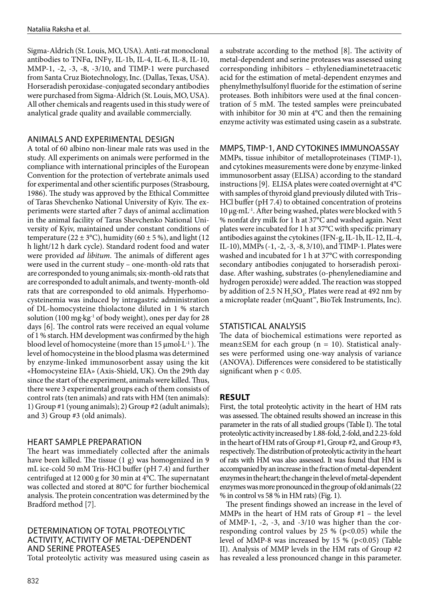Sigma-Aldrich (St. Louis, MO, USA). Anti-rat monoclonal antibodies to TNFα, INFγ, IL-1b, IL-4, IL-6, IL-8, IL-10, MMP-1, -2, -3, -8, -3/10, and TIMP-1 were purchased from Santa Cruz Biotechnology, Inc. (Dallas, Texas, USA). Horseradish peroxidase-conjugated secondary antibodies were purchased from Sigma-Aldrich (St. Louis, MO, USA). All other chemicals and reagents used in this study were of analytical grade quality and available commercially.

## ANIMALS AND EXPERIMENTAL DESIGN

A total of 60 albino non-linear male rats was used in the study. All experiments on animals were performed in the compliance with international principles of the European Convention for the protection of vertebrate animals used for experimental and other scientific purposes (Strasbourg, 1986). The study was approved by the Ethical Committee of Taras Shevchenko National University of Kyiv. The experiments were started after 7 days of animal acclimation in the animal facility of Taras Shevchenko National University of Kyiv, maintained under constant conditions of temperature ( $22 \pm 3$ °C), humidity ( $60 \pm 5$  %), and light (12) h light/12 h dark cycle). Standard rodent food and water were provided *ad libitum*. The animals of different ages were used in the current study – one-month-old rats that are corresponded to young animals; six-month-old rats that are corresponded to adult animals, and twenty-month-old rats that are corresponded to old animals. Hyperhomocysteinemia was induced by intragastric administration of DL-homocysteine thiolactone diluted in 1 % starch solution (100 mg·kg-1 of body weight), ones per day for 28 days [6]. The control rats were received an equal volume of 1 % starch. HM development was confirmed by the high blood level of homocysteine (more than  $15 \mu$ mol·L<sup>-1</sup>). The level of homocysteine in the blood plasma was determined by enzyme-linked immunosorbent assay using the kit «Homocysteine EIA» (Axis-Shield, UK). On the 29th day since the start of the experiment, animals were killed. Thus, there were 3 experimental groups each of them consists of control rats (ten animals) and rats with HM (ten animals): 1) Group #1 (young animals); 2) Group #2 (adult animals); and 3) Group #3 (old animals).

### HEART SAMPLE PREPARATION

The heart was immediately collected after the animals have been killed. The tissue (1 g) was homogenized in 9 mL ice-cold 50 mM Tris-HCl buffer (pH 7.4) and further centrifuged at 12 000 g for 30 min at 4°C. The supernatant was collected and stored at 80°C for further biochemical analysis. The protein concentration was determined by the Bradford method [7].

### DETERMINATION OF TOTAL PROTEOLYTIC ACTIVITY, ACTIVITY OF METAL-DEPENDENT AND SERINE PROTEASES

Total proteolytic activity was measured using casein as

a substrate according to the method [8]. The activity of metal-dependent and serine proteases was assessed using corresponding inhibitors – ethylenediaminetetraacetic acid for the estimation of metal-dependent enzymes and phenylmethylsulfonyl fluoride for the estimation of serine proteases. Both inhibitors were used at the final concentration of 5 mM. The tested samples were preincubated with inhibitor for 30 min at 4°C and then the remaining enzyme activity was estimated using casein as a substrate.

### MMPS, TIMP-1, AND CYTOKINES IMMUNOASSAY

MMPs, tissue inhibitor of metalloproteinases (TIMP-1), and cytokines measurements were done by enzyme-linked immunosorbent assay (ELISA) according to the standard instructions [9]. ELISA plates were coated overnight at 4°C with samples of thyroid gland previously diluted with Tris– HCl buffer (pH 7.4) to obtained concentration of proteins 10 μg·mL-1. After being washed, plates were blocked with 5 % nonfat dry milk for 1 h at 37°C and washed again. Next plates were incubated for 1 h at 37°C with specific primary antibodies against the cytokines (IFN-g, IL-1b, IL-12, IL-4, IL-10), MMPs (-1, -2, -3, -8, 3/10), and TIMP-1. Plates were washed and incubated for 1 h at 37°C with corresponding secondary antibodies conjugated to horseradish peroxidase. After washing, substrates (o-phenylenediamine and hydrogen peroxide) were added. The reaction was stopped by addition of 2.5 N  $H_2SO_4$ . Plates were read at 492 nm by a microplate reader (mQuant™, BioTek Instruments, Inc).

# STATISTICAL ANALYSIS

The data of biochemical estimations were reported as mean $\pm$ SEM for each group (n = 10). Statistical analyses were performed using one-way analysis of variance (ANOVA). Differences were considered to be statistically significant when  $p < 0.05$ .

# **RESULT**

First, the total proteolytic activity in the heart of HM rats was assessed. The obtained results showed an increase in this parameter in the rats of all studied groups (Table I). The total proteolytic activity increased by 1.88-fold, 2-fold, and 2.23-fold in the heart of HM rats of Group #1, Group #2, and Group #3, respectively. The distribution of proteolytic activity in the heart of rats with HM was also assessed. It was found that HM is accompanied by an increase in the fraction of metal-dependent enzymes in the heart; the change in the level of metal-dependent enzymes was more pronounced in the group of old animals (22 % in control vs 58 % in HM rats) (Fig. 1).

The present findings showed an increase in the level of MMPs in the heart of HM rats of Group #1 – the level of MMP-1, -2, -3, and -3/10 was higher than the corresponding control values by 25 % ( $p<0.05$ ) while the level of MMP-8 was increased by  $15\%$  (p<0.05) (Table II). Analysis of MMP levels in the HM rats of Group #2 has revealed a less pronounced change in this parameter.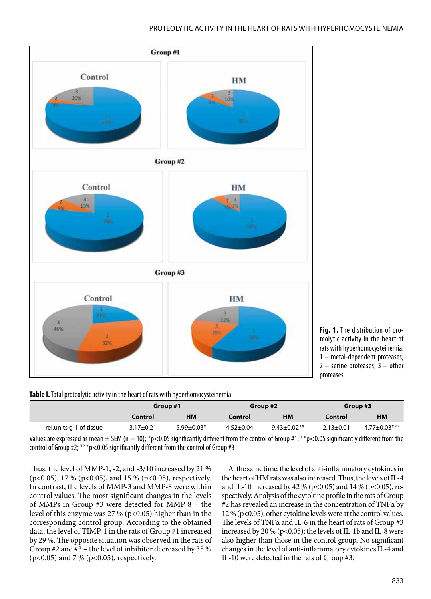

**Fig. 1.** The distribution of proteolytic activity in the heart of rats with hyperhomocysteinemia: 1 – metal-dependent proteases;  $2$  – serine proteases;  $3$  – other proteases

**Table I.** Total proteolytic activity in the heart of rats with hyperhomocysteinemia

|                         | Group #1      |                  | Group #2        |                    | Group #3        |                     |
|-------------------------|---------------|------------------|-----------------|--------------------|-----------------|---------------------|
|                         | Control       | HМ               | Control         | ΗМ                 | Control         | <b>HM</b>           |
| rel.units-g-1 of tissue | $3.17 + 0.21$ | $5.99 \pm 0.03*$ | $4.52 \pm 0.04$ | $9.43 \pm 0.02$ ** | $2.13 \pm 0.01$ | $4.77 \pm 0.03$ *** |

Values are expressed as mean  $\pm$  SEM (n = 10); \*p<0.05 significantly different from the control of Group #1; \*\*p<0.05 significantly different from the control of Group #2; \*\*\*p<0.05 significantly different from the control of Group #3

Thus, the level of MMP-1, -2, and -3/10 increased by 21 % (p<0.05), 17 % (p<0.05), and 15 % (p<0.05), respectively. In contrast, the levels of MMP-3 and MMP-8 were within control values. The most significant changes in the levels of MMPs in Group #3 were detected for MMP-8 – the level of this enzyme was 27 % (p<0.05) higher than in the corresponding control group. According to the obtained data, the level of TIMP-1 in the rats of Group #1 increased by 29 %. The opposite situation was observed in the rats of Group #2 and #3 – the level of inhibitor decreased by 35 % (p<0.05) and 7 % (p<0.05), respectively.

At the same time, the level of anti-inflammatory cytokines in the heart of HM rats was also increased. Thus, the levels of IL-4 and IL-10 increased by 42 % (p<0.05) and 14 % (p<0.05), respectively. Analysis of the cytokine profile in the rats of Group #2 has revealed an increase in the concentration of TNFα by 12 % (p<0.05); other cytokine levels were at the control values. The levels of TNFα and IL-6 in the heart of rats of Group #3 increased by 20 % (p<0.05); the levels of IL-1b and IL-8 were also higher than those in the control group. No significant changes in the level of anti-inflammatory cytokines IL-4 and IL-10 were detected in the rats of Group #3.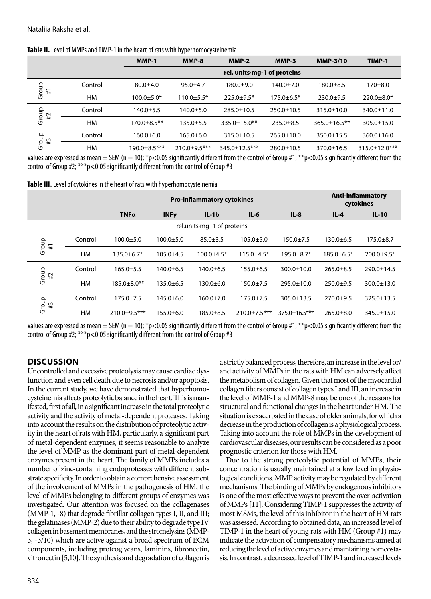|                   |           | MMP-1            | MMP-8                       | $MMP-2$              | MMP-3            | <b>MMP-3/10</b>     | TIMP-1               |  |  |
|-------------------|-----------|------------------|-----------------------------|----------------------|------------------|---------------------|----------------------|--|--|
|                   |           |                  | rel. units-mg-1 of proteins |                      |                  |                     |                      |  |  |
| Group<br>#1       | Control   | $80.0 + 4.0$     | $95.0 + 4.7$                | $180.0 + 9.0$        | $140.0 \pm 7.0$  | $180.0 + 8.5$       | $170 + 8.0$          |  |  |
|                   | HM        | $100.0 + 5.0*$   | $110.0 + 5.5*$              | $225.0 + 9.5*$       | $175.0 + 6.5*$   | $230.0+9.5$         | $220.0 + 8.0*$       |  |  |
| Group<br>#2       | Control   | $140.0 \pm 5.5$  | 140.0±5.0                   | $285.0 \pm 10.5$     | $250.0 \pm 10.5$ | $315.0 \pm 10.0$    | $340.0 \pm 11.0$     |  |  |
|                   | HM        | $170.0 + 8.5$ ** | $135.0 + 5.5$               | $335.0 \pm 15.0$ **  | $235.0 \pm 8.5$  | $365.0 \pm 16.5$ ** | $305.0 \pm 15.0$     |  |  |
| Group<br>$\sharp$ | Control   | 160.0±6.0        | $165.0 \pm 6.0$             | $315.0 \pm 10.5$     | $265.0 \pm 10.0$ | $350.0 \pm 15.5$    | $360.0 \pm 16.0$     |  |  |
|                   | <b>HM</b> | 190.0±8.5***     | $210.0 + 9.5$ ***           | $345.0 \pm 12.5$ *** | $280.0 \pm 10.5$ | 370.0±16.5          | $315.0 \pm 12.0$ *** |  |  |

Values are expressed as mean  $\pm$  SEM (n = 10); \*p<0.05 significantly different from the control of Group #1; \*\*p<0.05 significantly different from the control of Group #2; \*\*\*p<0.05 significantly different from the control of Group #3

**Table III.** Level of cytokines in the heart of rats with hyperhomocysteinemia

|                             |           | <b>Pro-inflammatory cytokines</b> |                 |                 |                    | <b>Anti-inflammatory</b><br>cytokines |                  |                  |
|-----------------------------|-----------|-----------------------------------|-----------------|-----------------|--------------------|---------------------------------------|------------------|------------------|
|                             |           | <b>TNFα</b>                       | <b>INFy</b>     | $IL - 1b$       | $IL-6$             | $IL-8$                                | $IL-4$           | $IL-10$          |
| rel.units mg -1 of proteins |           |                                   |                 |                 |                    |                                       |                  |                  |
| Group<br>$\pm$              | Control   | $100.0 + 5.0$                     | $100.0 + 5.0$   | $85.0 + 3.5$    | $105.0 + 5.0$      | $150.0 \pm 7.5$                       | $130.0 + 6.5$    | $175.0 + 8.7$    |
|                             | <b>HM</b> | $135.0 \pm 6.7*$                  | $105.0 + 4.5$   | $100.0 + 4.5*$  | $115.0 + 4.5*$     | $195.0 + 8.7*$                        | $185.0 \pm 6.5*$ | $200.0 \pm 9.5*$ |
| Group<br>#2                 | Control   | $165.0 \pm 5.5$                   | $140.0 + 6.5$   | $140.0 \pm 6.5$ | $155.0 + 6.5$      | $300.0 \pm 10.0$                      | $265.0 + 8.5$    | 290.0±14.5       |
|                             | <b>HM</b> | $185.0 \pm 8.0$ **                | $135.0 \pm 6.5$ | 130.0±6.0       | $150.0 + 7.5$      | $295.0 \pm 10.0$                      | $250.0 \pm 9.5$  | 300.0±13.0       |
| Group<br>$\sharp 3$         | Control   | $175.0 + 7.5$                     | $145.0 + 6.0$   | $160.0 \pm 7.0$ | $175.0 \pm 7.5$    | $305.0 \pm 13.5$                      | $270.0+9.5$      | 325.0±13.5       |
|                             | <b>HM</b> | $210.0+9.5***$                    | $155.0 \pm 6.0$ | $185.0 \pm 8.5$ | $210.0 \pm 7.5***$ | $375.0 \pm 16.5$ ***                  | $265.0 \pm 8.0$  | 345.0±15.0       |

Values are expressed as mean  $\pm$  SEM (n = 10); \*p<0.05 significantly different from the control of Group #1; \*\*p<0.05 significantly different from the control of Group #2; \*\*\*p<0.05 significantly different from the control of Group #3

# **DISCUSSION**

Uncontrolled and excessive proteolysis may cause cardiac dysfunction and even cell death due to necrosis and/or apoptosis. In the current study, we have demonstrated that hyperhomocysteinemia affects proteolytic balance in the heart. This is manifested, first of all, in a significant increase in the total proteolytic activity and the activity of metal-dependent proteases. Taking into account the results on the distribution of proteolytic activity in the heart of rats with HM, particularly, a significant part of metal-dependent enzymes, it seems reasonable to analyze the level of MMP as the dominant part of metal-dependent enzymes present in the heart. The family of MMPs includes a number of zinc-containing endoproteases with different substrate specificity. In order to obtain a comprehensive assessment of the involvement of MMPs in the pathogenesis of HM, the level of MMPs belonging to different groups of enzymes was investigated. Our attention was focused on the collagenases (MMP-1, -8) that degrade fibrillar collagen types I, II, and III; the gelatinases (MMP-2) due to their ability to degrade type IV collagen in basement membranes, and the stromelysins (MMP-3, -3/10) which are active against a broad spectrum of ECM components, including proteoglycans, laminins, fibronectin, vitronectin [5,10]. The synthesis and degradation of collagen is a strictly balanced process, therefore, an increase in the level or/ and activity of MMPs in the rats with HM can adversely affect the metabolism of collagen. Given that most of the myocardial collagen fibers consist of collagen types I and III, an increase in the level of MMP-1 and MMP-8 may be one of the reasons for structural and functional changes in the heart under HM. The situation is exacerbated in the case of older animals, for which a decrease in the production of collagen is a physiological process. Taking into account the role of MMPs in the development of cardiovascular diseases, our results can be considered as a poor prognostic criterion for those with HM.

Due to the strong proteolytic potential of MMPs, their concentration is usually maintained at a low level in physiological conditions. MMP activity may be regulated by different mechanisms. The binding of MMPs by endogenous inhibitors is one of the most effective ways to prevent the over-activation of MMPs [11]. Considering TIMP-1 suppresses the activity of most MSMs, the level of this inhibitor in the heart of HM rats was assessed. According to obtained data, an increased level of TIMP-1 in the heart of young rats with HM (Group #1) may indicate the activation of compensatory mechanisms aimed at reducing the level of active enzymes and maintaining homeostasis. In contrast, a decreased level of TIMP-1 and increased levels